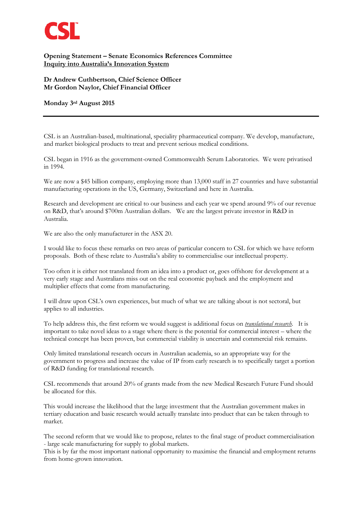

## **Opening Statement – Senate Economics References Committee Inquiry into Australia's Innovation System**

**Dr Andrew Cuthbertson, Chief Science Officer Mr Gordon Naylor, Chief Financial Officer**

## **Monday 3rd August 2015**

CSL is an Australian-based, multinational, speciality pharmaceutical company. We develop, manufacture, and market biological products to treat and prevent serious medical conditions.

CSL began in 1916 as the government-owned Commonwealth Serum Laboratories. We were privatised in 1994.

We are now a \$45 billion company, employing more than 13,000 staff in 27 countries and have substantial manufacturing operations in the US, Germany, Switzerland and here in Australia.

Research and development are critical to our business and each year we spend around 9% of our revenue on R&D, that's around \$700m Australian dollars. We are the largest private investor in R&D in Australia.

We are also the only manufacturer in the ASX 20.

I would like to focus these remarks on two areas of particular concern to CSL for which we have reform proposals. Both of these relate to Australia's ability to commercialise our intellectual property.

Too often it is either not translated from an idea into a product or, goes offshore for development at a very early stage and Australians miss out on the real economic payback and the employment and multiplier effects that come from manufacturing.

I will draw upon CSL's own experiences, but much of what we are talking about is not sectoral, but applies to all industries.

To help address this, the first reform we would suggest is additional focus on *translational research*. It is important to take novel ideas to a stage where there is the potential for commercial interest – where the technical concept has been proven, but commercial viability is uncertain and commercial risk remains.

Only limited translational research occurs in Australian academia, so an appropriate way for the government to progress and increase the value of IP from early research is to specifically target a portion of R&D funding for translational research.

CSL recommends that around 20% of grants made from the new Medical Research Future Fund should be allocated for this.

This would increase the likelihood that the large investment that the Australian government makes in tertiary education and basic research would actually translate into product that can be taken through to market.

The second reform that we would like to propose, relates to the final stage of product commercialisation - large scale manufacturing for supply to global markets.

This is by far the most important national opportunity to maximise the financial and employment returns from home-grown innovation.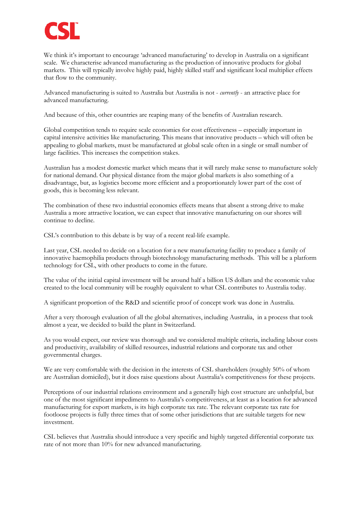

We think it's important to encourage 'advanced manufacturing' to develop in Australia on a significant scale. We characterise advanced manufacturing as the production of innovative products for global markets. This will typically involve highly paid, highly skilled staff and significant local multiplier effects that flow to the community.

Advanced manufacturing is suited to Australia but Australia is not - *currently* - an attractive place for advanced manufacturing.

And because of this, other countries are reaping many of the benefits of Australian research.

Global competition tends to require scale economies for cost effectiveness – especially important in capital intensive activities like manufacturing. This means that innovative products – which will often be appealing to global markets, must be manufactured at global scale often in a single or small number of large facilities. This increases the competition stakes.

Australian has a modest domestic market which means that it will rarely make sense to manufacture solely for national demand. Our physical distance from the major global markets is also something of a disadvantage, but, as logistics become more efficient and a proportionately lower part of the cost of goods, this is becoming less relevant.

The combination of these two industrial economics effects means that absent a strong drive to make Australia a more attractive location, we can expect that innovative manufacturing on our shores will continue to decline.

CSL's contribution to this debate is by way of a recent real-life example.

Last year, CSL needed to decide on a location for a new manufacturing facility to produce a family of innovative haemophilia products through biotechnology manufacturing methods. This will be a platform technology for CSL, with other products to come in the future.

The value of the initial capital investment will be around half a billion US dollars and the economic value created to the local community will be roughly equivalent to what CSL contributes to Australia today.

A significant proportion of the R&D and scientific proof of concept work was done in Australia.

After a very thorough evaluation of all the global alternatives, including Australia, in a process that took almost a year, we decided to build the plant in Switzerland.

As you would expect, our review was thorough and we considered multiple criteria, including labour costs and productivity, availability of skilled resources, industrial relations and corporate tax and other governmental charges.

We are very comfortable with the decision in the interests of CSL shareholders (roughly 50% of whom are Australian domiciled), but it does raise questions about Australia's competitiveness for these projects.

Perceptions of our industrial relations environment and a generally high cost structure are unhelpful, but one of the most significant impediments to Australia's competitiveness, at least as a location for advanced manufacturing for export markets, is its high corporate tax rate. The relevant corporate tax rate for footloose projects is fully three times that of some other jurisdictions that are suitable targets for new investment.

CSL believes that Australia should introduce a very specific and highly targeted differential corporate tax rate of not more than 10% for new advanced manufacturing.